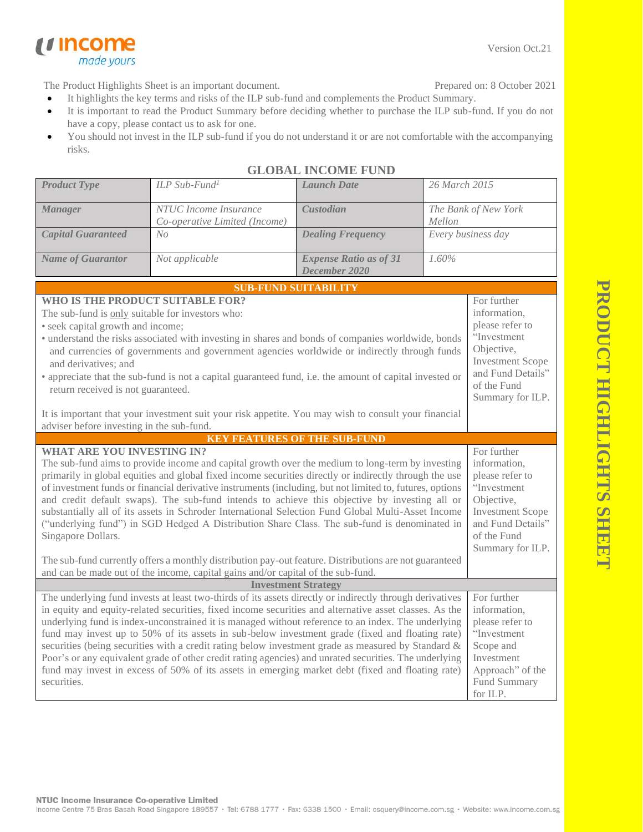**PRODUCT HIGHLIGHTS SHEE PRODUCT HIGHLIGHTS SHEET**

The Product Highlights Sheet is an important document.

- It highlights the key terms and risks of the ILP sub-fund and complements the Product Summary. Prepared on: 8 October 2021
- It is important to read the Product Summary before deciding whether to purchase the ILP sub-fund. If you do not have a copy, please contact us to ask for one.
- You should not invest in the ILP sub-fund if you do not understand it or are not comfortable with the accompanying risks.

| <b>GLOBAL INCOME FUND</b>                                                                                                                                                                                                                                                                                                                                                                                                                                                                                                                                                                                                                                                                                                                                                                                                                                                              |                                                        |                                                |                                                                                                                                                                |  |  |
|----------------------------------------------------------------------------------------------------------------------------------------------------------------------------------------------------------------------------------------------------------------------------------------------------------------------------------------------------------------------------------------------------------------------------------------------------------------------------------------------------------------------------------------------------------------------------------------------------------------------------------------------------------------------------------------------------------------------------------------------------------------------------------------------------------------------------------------------------------------------------------------|--------------------------------------------------------|------------------------------------------------|----------------------------------------------------------------------------------------------------------------------------------------------------------------|--|--|
| <b>Product Type</b>                                                                                                                                                                                                                                                                                                                                                                                                                                                                                                                                                                                                                                                                                                                                                                                                                                                                    | ILP Sub-Fund <sup>1</sup>                              | <b>Launch Date</b>                             | 26 March 2015                                                                                                                                                  |  |  |
| <b>Manager</b>                                                                                                                                                                                                                                                                                                                                                                                                                                                                                                                                                                                                                                                                                                                                                                                                                                                                         | NTUC Income Insurance<br>Co-operative Limited (Income) | <b>Custodian</b>                               | The Bank of New York<br>Mellon                                                                                                                                 |  |  |
| <b>Capital Guaranteed</b>                                                                                                                                                                                                                                                                                                                                                                                                                                                                                                                                                                                                                                                                                                                                                                                                                                                              | No                                                     | <b>Dealing Frequency</b>                       | Every business day                                                                                                                                             |  |  |
| <b>Name of Guarantor</b>                                                                                                                                                                                                                                                                                                                                                                                                                                                                                                                                                                                                                                                                                                                                                                                                                                                               | Not applicable                                         | <b>Expense Ratio as of 31</b><br>December 2020 | 1.60%                                                                                                                                                          |  |  |
|                                                                                                                                                                                                                                                                                                                                                                                                                                                                                                                                                                                                                                                                                                                                                                                                                                                                                        |                                                        | <b>SUB-FUND SUITABILITY</b>                    |                                                                                                                                                                |  |  |
| WHO IS THE PRODUCT SUITABLE FOR?<br>The sub-fund is only suitable for investors who:<br>• seek capital growth and income;<br>· understand the risks associated with investing in shares and bonds of companies worldwide, bonds<br>and currencies of governments and government agencies worldwide or indirectly through funds<br>and derivatives: and<br>• appreciate that the sub-fund is not a capital guaranteed fund, i.e. the amount of capital invested or<br>return received is not guaranteed.<br>It is important that your investment suit your risk appetite. You may wish to consult your financial<br>adviser before investing in the sub-fund.                                                                                                                                                                                                                           |                                                        |                                                | For further<br>information,<br>please refer to<br>"Investment<br>Objective,<br><b>Investment Scope</b><br>and Fund Details"<br>of the Fund<br>Summary for ILP. |  |  |
|                                                                                                                                                                                                                                                                                                                                                                                                                                                                                                                                                                                                                                                                                                                                                                                                                                                                                        |                                                        | <b>KEY FEATURES OF THE SUB-FUND</b>            |                                                                                                                                                                |  |  |
| <b>WHAT ARE YOU INVESTING IN?</b><br>The sub-fund aims to provide income and capital growth over the medium to long-term by investing<br>primarily in global equities and global fixed income securities directly or indirectly through the use<br>of investment funds or financial derivative instruments (including, but not limited to, futures, options<br>and credit default swaps). The sub-fund intends to achieve this objective by investing all or<br>substantially all of its assets in Schroder International Selection Fund Global Multi-Asset Income<br>("underlying fund") in SGD Hedged A Distribution Share Class. The sub-fund is denominated in<br>Singapore Dollars.<br>The sub-fund currently offers a monthly distribution pay-out feature. Distributions are not guaranteed<br>and can be made out of the income, capital gains and/or capital of the sub-fund. |                                                        |                                                | For further<br>information,<br>please refer to<br>"Investment<br>Objective,<br><b>Investment Scope</b><br>and Fund Details"<br>of the Fund<br>Summary for ILP. |  |  |
| <b>Investment Strategy</b>                                                                                                                                                                                                                                                                                                                                                                                                                                                                                                                                                                                                                                                                                                                                                                                                                                                             |                                                        |                                                |                                                                                                                                                                |  |  |
| The underlying fund invests at least two-thirds of its assets directly or indirectly through derivatives<br>in equity and equity-related securities, fixed income securities and alternative asset classes. As the<br>underlying fund is index-unconstrained it is managed without reference to an index. The underlying<br>fund may invest up to 50% of its assets in sub-below investment grade (fixed and floating rate)<br>securities (being securities with a credit rating below investment grade as measured by Standard &<br>Poor's or any equivalent grade of other credit rating agencies) and unrated securities. The underlying<br>fund may invest in excess of 50% of its assets in emerging market debt (fixed and floating rate)<br>securities.                                                                                                                         |                                                        |                                                | For further<br>information,<br>please refer to<br>"Investment<br>Scope and<br>Investment<br>Approach" of the<br>Fund Summary<br>for ILP.                       |  |  |

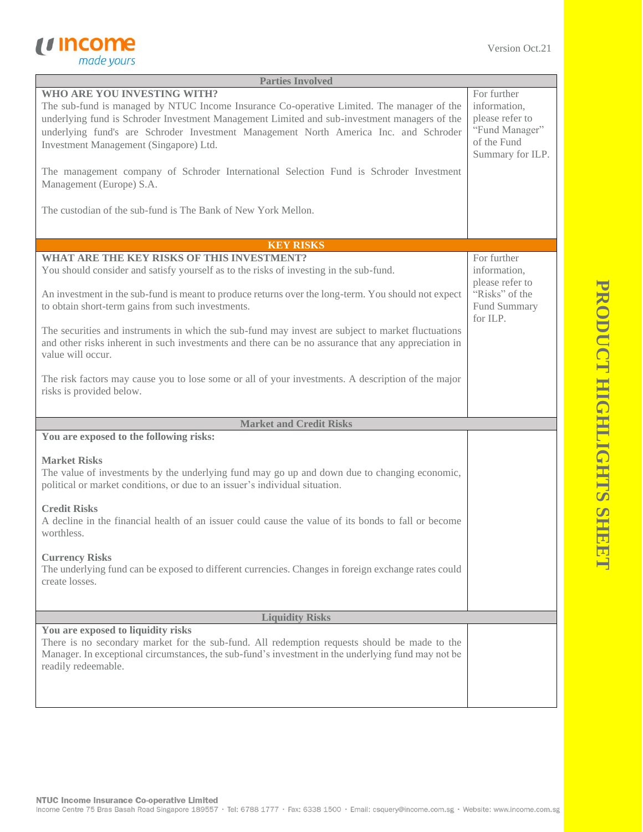

| <b>Parties Involved</b>                                                                                                                                                                                                                                                                                                                                    |                                                                                                     |  |
|------------------------------------------------------------------------------------------------------------------------------------------------------------------------------------------------------------------------------------------------------------------------------------------------------------------------------------------------------------|-----------------------------------------------------------------------------------------------------|--|
| WHO ARE YOU INVESTING WITH?<br>The sub-fund is managed by NTUC Income Insurance Co-operative Limited. The manager of the<br>underlying fund is Schroder Investment Management Limited and sub-investment managers of the<br>underlying fund's are Schroder Investment Management North America Inc. and Schroder<br>Investment Management (Singapore) Ltd. | For further<br>information,<br>please refer to<br>"Fund Manager"<br>of the Fund<br>Summary for ILP. |  |
| The management company of Schroder International Selection Fund is Schroder Investment<br>Management (Europe) S.A.                                                                                                                                                                                                                                         |                                                                                                     |  |
| The custodian of the sub-fund is The Bank of New York Mellon.                                                                                                                                                                                                                                                                                              |                                                                                                     |  |
| <b>KEY RISKS</b>                                                                                                                                                                                                                                                                                                                                           |                                                                                                     |  |
| <b>WHAT ARE THE KEY RISKS OF THIS INVESTMENT?</b><br>You should consider and satisfy yourself as to the risks of investing in the sub-fund.                                                                                                                                                                                                                | For further<br>information,<br>please refer to                                                      |  |
| An investment in the sub-fund is meant to produce returns over the long-term. You should not expect<br>to obtain short-term gains from such investments.                                                                                                                                                                                                   | "Risks" of the<br>Fund Summary<br>for ILP.                                                          |  |
| The securities and instruments in which the sub-fund may invest are subject to market fluctuations<br>and other risks inherent in such investments and there can be no assurance that any appreciation in<br>value will occur.                                                                                                                             |                                                                                                     |  |
| The risk factors may cause you to lose some or all of your investments. A description of the major<br>risks is provided below.                                                                                                                                                                                                                             |                                                                                                     |  |
| <b>Market and Credit Risks</b>                                                                                                                                                                                                                                                                                                                             |                                                                                                     |  |
| You are exposed to the following risks:                                                                                                                                                                                                                                                                                                                    |                                                                                                     |  |
| <b>Market Risks</b><br>The value of investments by the underlying fund may go up and down due to changing economic,<br>political or market conditions, or due to an issuer's individual situation.                                                                                                                                                         |                                                                                                     |  |
| <b>Credit Risks</b><br>A decline in the financial health of an issuer could cause the value of its bonds to fall or become<br>worthless.                                                                                                                                                                                                                   |                                                                                                     |  |
| <b>Currency Risks</b><br>The underlying fund can be exposed to different currencies. Changes in foreign exchange rates could<br>create losses.                                                                                                                                                                                                             |                                                                                                     |  |
| <b>Liquidity Risks</b>                                                                                                                                                                                                                                                                                                                                     |                                                                                                     |  |
| You are exposed to liquidity risks<br>There is no secondary market for the sub-fund. All redemption requests should be made to the<br>Manager. In exceptional circumstances, the sub-fund's investment in the underlying fund may not be<br>readily redeemable.                                                                                            |                                                                                                     |  |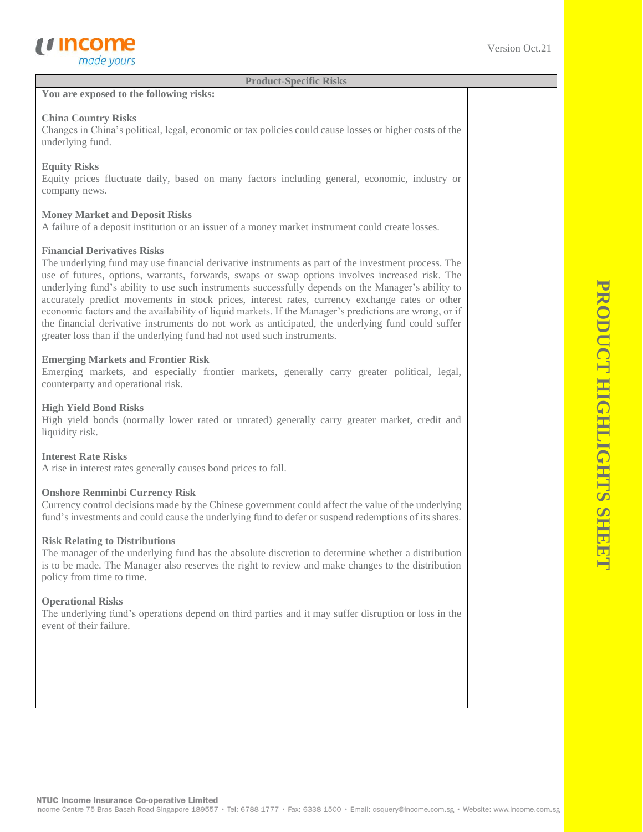

**Product-Specific Risks**

#### **You are exposed to the following risks:**

#### **China Country Risks**

Changes in China's political, legal, economic or tax policies could cause losses or higher costs of the underlying fund.

#### **Equity Risks**

Equity prices fluctuate daily, based on many factors including general, economic, industry or company news.

### **Money Market and Deposit Risks**

A failure of a deposit institution or an issuer of a money market instrument could create losses.

#### **Financial Derivatives Risks**

The underlying fund may use financial derivative instruments as part of the investment process. The use of futures, options, warrants, forwards, swaps or swap options involves increased risk. The underlying fund's ability to use such instruments successfully depends on the Manager's ability to accurately predict movements in stock prices, interest rates, currency exchange rates or other economic factors and the availability of liquid markets. If the Manager's predictions are wrong, or if the financial derivative instruments do not work as anticipated, the underlying fund could suffer greater loss than if the underlying fund had not used such instruments.

#### **Emerging Markets and Frontier Risk**

Emerging markets, and especially frontier markets, generally carry greater political, legal, counterparty and operational risk.

#### **High Yield Bond Risks**

High yield bonds (normally lower rated or unrated) generally carry greater market, credit and liquidity risk.

#### **Interest Rate Risks**

A rise in interest rates generally causes bond prices to fall.

#### **Onshore Renminbi Currency Risk**

Currency control decisions made by the Chinese government could affect the value of the underlying fund's investments and could cause the underlying fund to defer or suspend redemptions of its shares.

#### **Risk Relating to Distributions**

The manager of the underlying fund has the absolute discretion to determine whether a distribution is to be made. The Manager also reserves the right to review and make changes to the distribution policy from time to time.

#### **Operational Risks**

The underlying fund's operations depend on third parties and it may suffer disruption or loss in the event of their failure.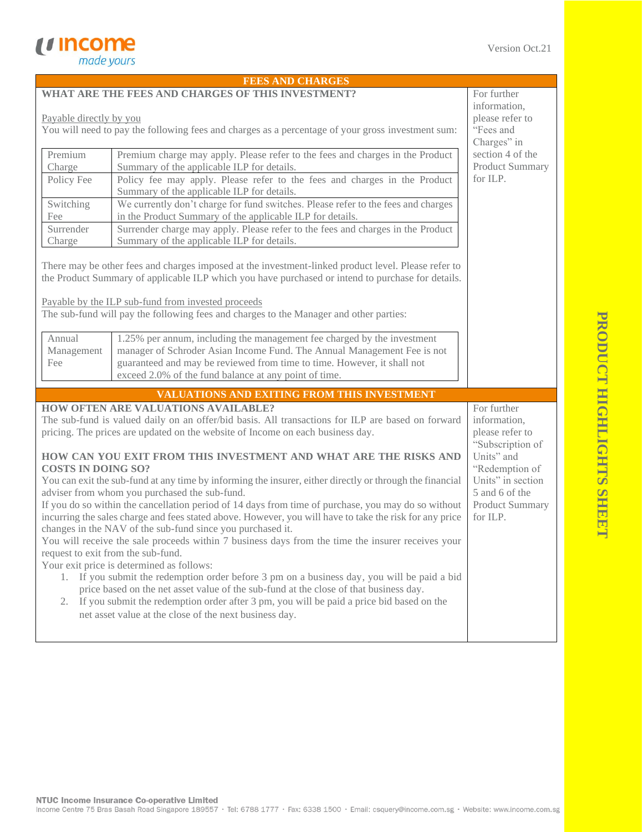|                                                                                                                                                                                         | <b>FEES AND CHARGES</b>                                                                                                                                                                                                                                                                                                                                  |                        |  |
|-----------------------------------------------------------------------------------------------------------------------------------------------------------------------------------------|----------------------------------------------------------------------------------------------------------------------------------------------------------------------------------------------------------------------------------------------------------------------------------------------------------------------------------------------------------|------------------------|--|
| WHAT ARE THE FEES AND CHARGES OF THIS INVESTMENT?                                                                                                                                       | For further                                                                                                                                                                                                                                                                                                                                              |                        |  |
|                                                                                                                                                                                         | information,                                                                                                                                                                                                                                                                                                                                             |                        |  |
| Payable directly by you                                                                                                                                                                 | please refer to                                                                                                                                                                                                                                                                                                                                          |                        |  |
| You will need to pay the following fees and charges as a percentage of your gross investment sum:                                                                                       | "Fees and                                                                                                                                                                                                                                                                                                                                                |                        |  |
|                                                                                                                                                                                         | Charges" in                                                                                                                                                                                                                                                                                                                                              |                        |  |
| Premium                                                                                                                                                                                 | Premium charge may apply. Please refer to the fees and charges in the Product                                                                                                                                                                                                                                                                            | section 4 of the       |  |
| Charge                                                                                                                                                                                  | Summary of the applicable ILP for details.                                                                                                                                                                                                                                                                                                               | Product Summary        |  |
| Policy Fee                                                                                                                                                                              | Policy fee may apply. Please refer to the fees and charges in the Product<br>Summary of the applicable ILP for details.                                                                                                                                                                                                                                  | for ILP.               |  |
| Switching                                                                                                                                                                               | We currently don't charge for fund switches. Please refer to the fees and charges                                                                                                                                                                                                                                                                        |                        |  |
| Fee                                                                                                                                                                                     | in the Product Summary of the applicable ILP for details.                                                                                                                                                                                                                                                                                                |                        |  |
| Surrender                                                                                                                                                                               | Surrender charge may apply. Please refer to the fees and charges in the Product                                                                                                                                                                                                                                                                          |                        |  |
| Charge                                                                                                                                                                                  | Summary of the applicable ILP for details.                                                                                                                                                                                                                                                                                                               |                        |  |
|                                                                                                                                                                                         | There may be other fees and charges imposed at the investment-linked product level. Please refer to<br>the Product Summary of applicable ILP which you have purchased or intend to purchase for details.<br>Payable by the ILP sub-fund from invested proceeds<br>The sub-fund will pay the following fees and charges to the Manager and other parties: |                        |  |
| Annual                                                                                                                                                                                  |                                                                                                                                                                                                                                                                                                                                                          |                        |  |
| Management                                                                                                                                                                              | 1.25% per annum, including the management fee charged by the investment<br>manager of Schroder Asian Income Fund. The Annual Management Fee is not                                                                                                                                                                                                       |                        |  |
| Fee                                                                                                                                                                                     | guaranteed and may be reviewed from time to time. However, it shall not                                                                                                                                                                                                                                                                                  |                        |  |
|                                                                                                                                                                                         | exceed 2.0% of the fund balance at any point of time.                                                                                                                                                                                                                                                                                                    |                        |  |
|                                                                                                                                                                                         |                                                                                                                                                                                                                                                                                                                                                          |                        |  |
|                                                                                                                                                                                         | VALUATIONS AND EXITING FROM THIS INVESTMENT<br><b>HOW OFTEN ARE VALUATIONS AVAILABLE?</b>                                                                                                                                                                                                                                                                |                        |  |
| The sub-fund is valued daily on an offer/bid basis. All transactions for ILP are based on forward<br>pricing. The prices are updated on the website of Income on each business day.     | For further<br>information,<br>please refer to                                                                                                                                                                                                                                                                                                           |                        |  |
| HOW CAN YOU EXIT FROM THIS INVESTMENT AND WHAT ARE THE RISKS AND<br><b>COSTS IN DOING SO?</b>                                                                                           | "Subscription of<br>Units" and<br>"Redemption of                                                                                                                                                                                                                                                                                                         |                        |  |
|                                                                                                                                                                                         | You can exit the sub-fund at any time by informing the insurer, either directly or through the financial                                                                                                                                                                                                                                                 | Units" in section      |  |
|                                                                                                                                                                                         | adviser from whom you purchased the sub-fund.                                                                                                                                                                                                                                                                                                            | 5 and 6 of the         |  |
|                                                                                                                                                                                         | If you do so within the cancellation period of 14 days from time of purchase, you may do so without                                                                                                                                                                                                                                                      | <b>Product Summary</b> |  |
| incurring the sales charge and fees stated above. However, you will have to take the risk for any price<br>for ILP.<br>changes in the NAV of the sub-fund since you purchased it.       |                                                                                                                                                                                                                                                                                                                                                          |                        |  |
|                                                                                                                                                                                         | You will receive the sale proceeds within 7 business days from the time the insurer receives your                                                                                                                                                                                                                                                        |                        |  |
| request to exit from the sub-fund.                                                                                                                                                      |                                                                                                                                                                                                                                                                                                                                                          |                        |  |
| Your exit price is determined as follows:                                                                                                                                               |                                                                                                                                                                                                                                                                                                                                                          |                        |  |
| 1. If you submit the redemption order before 3 pm on a business day, you will be paid a bid                                                                                             |                                                                                                                                                                                                                                                                                                                                                          |                        |  |
| price based on the net asset value of the sub-fund at the close of that business day.<br>If you submit the redemption order after 3 pm, you will be paid a price bid based on the<br>2. |                                                                                                                                                                                                                                                                                                                                                          |                        |  |
| net asset value at the close of the next business day.                                                                                                                                  |                                                                                                                                                                                                                                                                                                                                                          |                        |  |
|                                                                                                                                                                                         |                                                                                                                                                                                                                                                                                                                                                          |                        |  |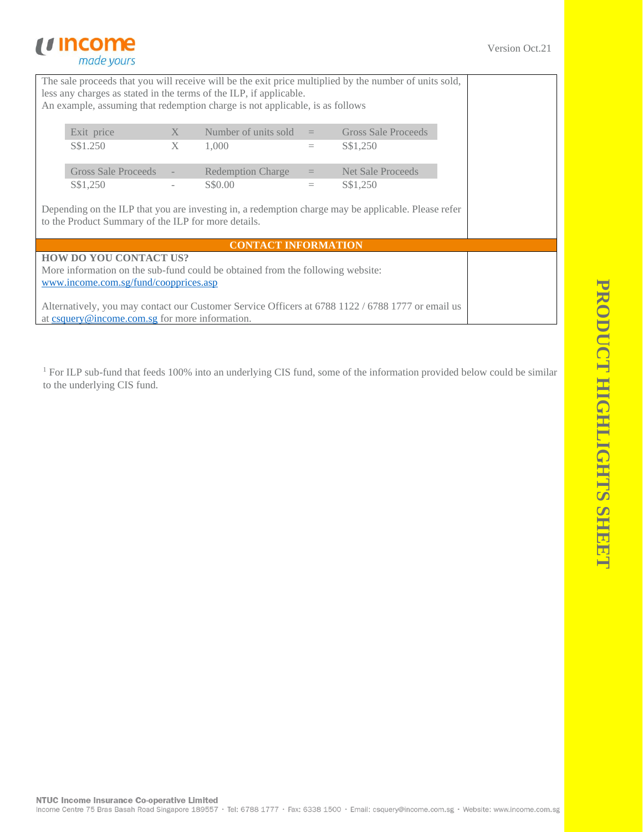# *u* income made yours

The sale proceeds that you will receive will be the exit price multiplied by the number of units sold, less any charges as stated in the terms of the ILP, if applicable. An example, assuming that redemption charge is not applicable, is as follows

| Exit price<br>S\$1.250 | $\mathbf{X}$<br>$X -$ | Number of units sold<br>1.000 | $\mathbf{r} = \mathbf{r}$<br>$=$ | Gross Sale Proceeds<br>S\$1,250 |
|------------------------|-----------------------|-------------------------------|----------------------------------|---------------------------------|
| Gross Sale Proceeds    |                       | <b>Redemption Charge</b>      | $=$                              | Net Sale Proceeds               |
| S\$1,250               |                       | S\$0.00                       |                                  | S\$1,250                        |

Depending on the ILP that you are investing in, a redemption charge may be applicable. Please refer to the Product Summary of the ILP for more details.

## **CONTACT INFORMATION**

**HOW DO YOU CONTACT US?**  More information on the sub-fund could be obtained from the following website: [www.income.com.sg/fund/coopprices.asp](http://www.income.com.sg/fund/coopprices.asp)

Alternatively, you may contact our Customer Service Officers at 6788 1122 / 6788 1777 or email us at [csquery@income.com.sg](mailto:csquery@income.com.sg) for more information.

<sup>1</sup> For ILP sub-fund that feeds 100% into an underlying CIS fund, some of the information provided below could be similar to the underlying CIS fund.